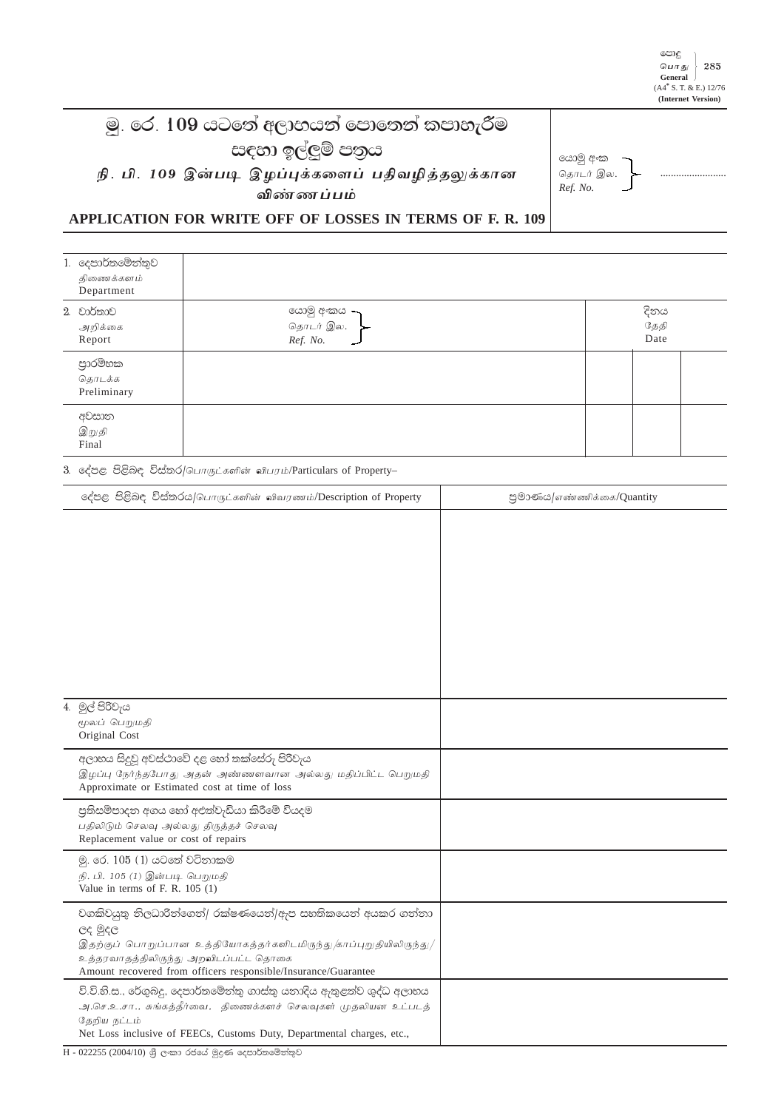## මූ. රෙ. 109 යටතේ අලාභයන් පොතෙත් කපාහැරීම සඳහා ඉල්ලුම් පතුය

நி. பி. 109 இன்படி இழப்புக்களைப் பதிவழித்தலுக்கான விண்ணப்பம்

යොමු අංක தொடர் இல. Ref. No.

## APPLICATION FOR WRITE OFF OF LOSSES IN TERMS OF F. R. 109

| 1. දෙපාර්තමේන්තුව<br>திணைக்களம்<br>Department |                                      |                      |  |
|-----------------------------------------------|--------------------------------------|----------------------|--|
| 2. වාර්තාව<br>அறிக்கை<br>Report               | යොමු අංකය –<br>தொடர் இல.<br>Ref. No. | දිනය<br>தேதி<br>Date |  |
| පාරම්භක<br>தொடக்க<br>Preliminary              |                                      |                      |  |
| අවසාන<br>இறுதி<br>Final                       |                                      |                      |  |

3. දේපළ පිළිබඳ විස්තර/பொருட்களின் விபரம்/Particulars of Property-

| දේපළ පිළිබඳ විස්තරය/பொருட்களின் விவரணம்/Description of Property                                                                                                                                                                                         | පුමාණය/எண்ணிக்கை/Quantity |
|---------------------------------------------------------------------------------------------------------------------------------------------------------------------------------------------------------------------------------------------------------|---------------------------|
|                                                                                                                                                                                                                                                         |                           |
| 4. මුල් පිරිවැය<br>மூலப் பெறுமதி<br>Original Cost                                                                                                                                                                                                       |                           |
| අලාභය සිදුවූ අවස්ථාවේ දළ හෝ තක්සේරු පිරිවැය<br>இழப்பு நேர்ந்தபோது அதன் அண்ணளவான அல்லது மதிப்பிட்ட பெறுமதி<br>Approximate or Estimated cost at time of loss                                                                                              |                           |
| පුතිසම්පාදන අගය හෝ අඑත්වැඩියා කිරීමේ වියදම<br>பதிலிடும் செலவு அல்லது திருத்தச் செலவு<br>Replacement value or cost of repairs                                                                                                                            |                           |
| මු. රෙ. 105 (1) යටතේ වටිනාකම<br>நி. பி. 105 (1) இன்படி பெறுமதி<br>Value in terms of F. R. $105(1)$                                                                                                                                                      |                           |
| වගකිවයුතු නිලධාරිත්ගෙත්/ රක්ෂණයෙත්/ඇප සහතිකයෙත් අයකර ගත්තා<br>ලද මුදල<br>இதற்குப் பொறுப்பான உத்தியோகத்தர்களிடமிருந்து /காப்புறுதியிலிருந்து/<br>உத்தரவாதத்திலிருந்து அறவிடப்பட்ட தொகை<br>Amount recovered from officers responsible/Insurance/Guarantee |                           |
| වි.වි.හි.ස., රේගුබදු, දෙපාර්තමේන්තු ගාස්තු යනාදිය ඇතුළත්ව ශුද්ධ අලාභය<br>அ.செ.உ.சா., சுங்கத்தீர்வை, திணைக்களச் செலவுகள் முதலியன உட்படத்<br>தேறிய நட்டம்<br>Net Loss inclusive of FEECs, Customs Duty, Departmental charges, etc.,                       |                           |

 $\overline{H}$  - 022255 (2004/10) ශුී ලංකා රජයේ මුදුණ දෙපාර්තමේන්තුව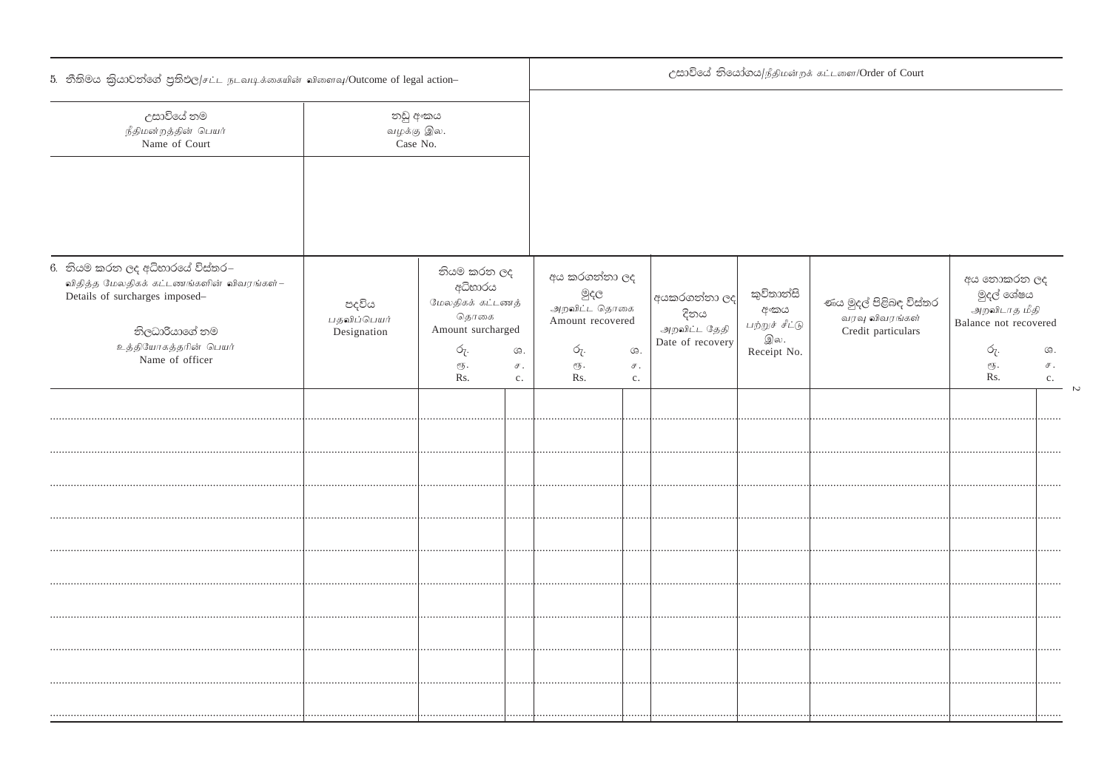| 5. නීතිමය කිුයාවත්ගේ පුතිඵල/சட்ட நடவடிக்கையின் விளைவு/Outcome of legal action-                                                  |                                     |                       |                                                                         | උසාවියේ තියෝගය/நீதிமன்றக் கட்டளை/Order of Court |                                                           |                                 |                                                             |                                                                      |                                                                    |  |
|---------------------------------------------------------------------------------------------------------------------------------|-------------------------------------|-----------------------|-------------------------------------------------------------------------|-------------------------------------------------|-----------------------------------------------------------|---------------------------------|-------------------------------------------------------------|----------------------------------------------------------------------|--------------------------------------------------------------------|--|
| උසාවියේ නම<br>நீதிமன்றத்தின் பெயர்<br>Name of Court                                                                             | නඩු අංකය<br>வழக்கு இல.<br>Case No.  |                       |                                                                         |                                                 |                                                           |                                 |                                                             |                                                                      |                                                                    |  |
|                                                                                                                                 |                                     |                       |                                                                         |                                                 |                                                           |                                 |                                                             |                                                                      |                                                                    |  |
| 6. නියම කරන ලද අධිහාරයේ විස්තර–<br>விதித்த மேலதிகக் கட்டணங்களின் விவரங்கள்–<br>Details of surcharges imposed-<br>නිලධාරියාගේ නම | පදවිය<br>பதவிப்பெயர்<br>Designation |                       | නියම කරන ලද<br>අධිහාරය<br>மேலதிகக் கட்டணத்<br>தொகை<br>Amount surcharged |                                                 | අය කරගන්නා ලද<br>මුදල<br>அறவிட்ட தொகை<br>Amount recovered |                                 | කුවිතාන්සි<br>අයකරගන්නා ලද<br>අංකය<br>பற்றுச் சீட்டு<br>இல. | ණය මුදල් පිළිබඳ විස්තර<br>வரவு விவரங்கள்<br>Credit particulars       | අය තොකරන ලද<br>මුදල් ශේෂය<br>அறவிடாத மீதி<br>Balance not recovered |  |
| உத்தியோகத்தரின் பெயர்<br>Name of officer                                                                                        |                                     | රු.<br>$e/5$ .<br>Rs. | $G$ .<br>$\sigma$ .<br>c.                                               | රු.<br>$\sqrt{\sqrt{5}}$ .<br>Rs.               | $G$ .<br>$\mathcal F$ .<br>c.                             | Date of recovery<br>Receipt No. |                                                             | ó <sub>ζ</sub> .<br>$\mathcal{C}\hspace{-0.5pt}\mathcal{F}$ .<br>Rs. | $G$ .<br>$\mathcal F$ .<br>c.                                      |  |
|                                                                                                                                 |                                     |                       |                                                                         |                                                 |                                                           |                                 |                                                             |                                                                      |                                                                    |  |
|                                                                                                                                 |                                     |                       |                                                                         |                                                 |                                                           |                                 |                                                             |                                                                      |                                                                    |  |
|                                                                                                                                 |                                     |                       |                                                                         |                                                 |                                                           |                                 |                                                             |                                                                      |                                                                    |  |
|                                                                                                                                 |                                     |                       |                                                                         |                                                 |                                                           |                                 |                                                             |                                                                      |                                                                    |  |
|                                                                                                                                 |                                     |                       |                                                                         |                                                 |                                                           |                                 |                                                             |                                                                      |                                                                    |  |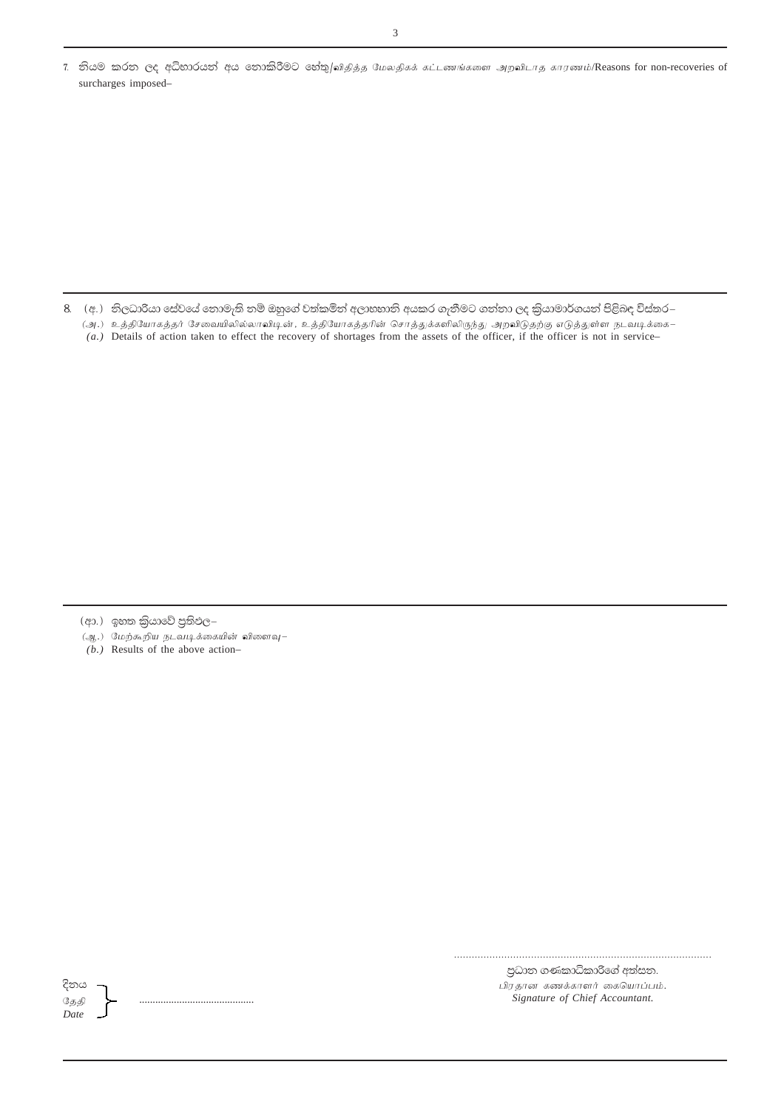7. නියම කරන ලද අධිහාරයන් අය තොකිරීමට හේතු/விதித்த மேலதிகக் கட்டணங்களை அறவிடாத காரணம்/Reasons for non-recoveries of surcharges imposed-

8. (අ.) නිලධාරියා සේවයේ තොමැති නම් ඔහුගේ වත්කමින් අලාහහානි අයකර ගැනීමට ගන්නා ලද කිුයාමාර්ගයන් පිළිබඳ විස්තර–

.<br>(அ.) உத்தியோகத்தர் சேவையிலில்லாவியுன், உத்தியோகத்தரின் சொத்துக்களிலிருந்து அறவிடுதற்கு எடுத்துள்ள நடவடிக்கை–

(a.) Details of action taken to effect the recovery of shortages from the assets of the officer, if the officer is not in service-

- (ආ.) ඉහත කිුයාවේ පුතිඵල–
- (ஆ.) மேற்கூறிய நடவடிக்கையின் விளைவு–
- $(b.)$  Results of the above action-

දිනය தேதி Date

පුධාන ගණකාධිකාරිගේ අත්සන. பிரதான கணக்காளர் கையொப்பம். Signature of Chief Accountant.